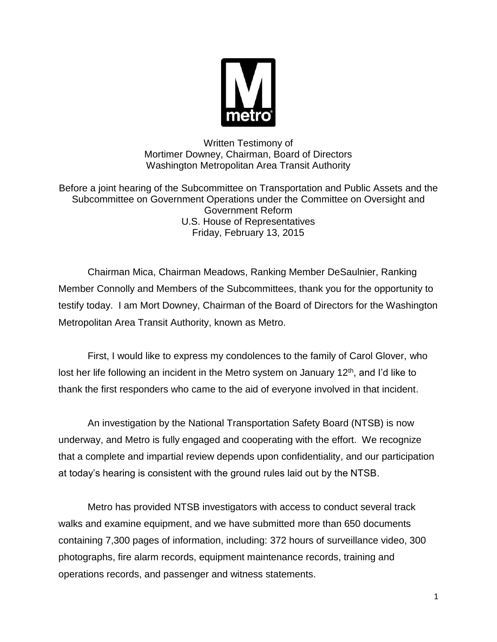

Written Testimony of Mortimer Downey, Chairman, Board of Directors Washington Metropolitan Area Transit Authority

Before a joint hearing of the Subcommittee on Transportation and Public Assets and the Subcommittee on Government Operations under the Committee on Oversight and Government Reform U.S. House of Representatives Friday, February 13, 2015

Chairman Mica, Chairman Meadows, Ranking Member DeSaulnier, Ranking Member Connolly and Members of the Subcommittees, thank you for the opportunity to testify today. I am Mort Downey, Chairman of the Board of Directors for the Washington Metropolitan Area Transit Authority, known as Metro.

First, I would like to express my condolences to the family of Carol Glover, who lost her life following an incident in the Metro system on January 12<sup>th</sup>, and I'd like to thank the first responders who came to the aid of everyone involved in that incident.

An investigation by the National Transportation Safety Board (NTSB) is now underway, and Metro is fully engaged and cooperating with the effort. We recognize that a complete and impartial review depends upon confidentiality, and our participation at today's hearing is consistent with the ground rules laid out by the NTSB.

Metro has provided NTSB investigators with access to conduct several track walks and examine equipment, and we have submitted more than 650 documents containing 7,300 pages of information, including: 372 hours of surveillance video, 300 photographs, fire alarm records, equipment maintenance records, training and operations records, and passenger and witness statements.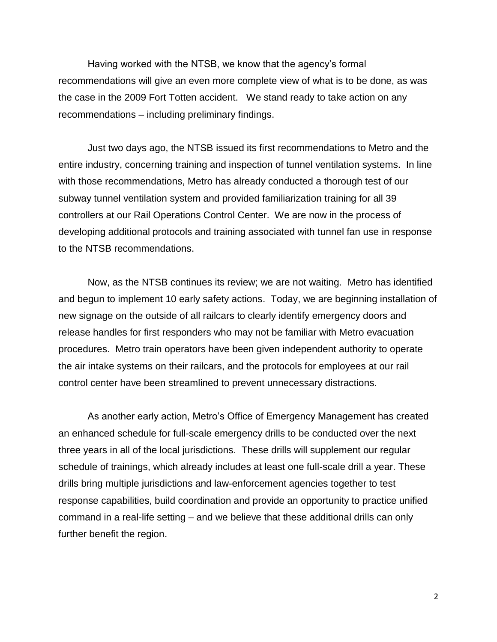Having worked with the NTSB, we know that the agency's formal recommendations will give an even more complete view of what is to be done, as was the case in the 2009 Fort Totten accident. We stand ready to take action on any recommendations – including preliminary findings.

Just two days ago, the NTSB issued its first recommendations to Metro and the entire industry, concerning training and inspection of tunnel ventilation systems. In line with those recommendations, Metro has already conducted a thorough test of our subway tunnel ventilation system and provided familiarization training for all 39 controllers at our Rail Operations Control Center. We are now in the process of developing additional protocols and training associated with tunnel fan use in response to the NTSB recommendations.

Now, as the NTSB continues its review; we are not waiting. Metro has identified and begun to implement 10 early safety actions. Today, we are beginning installation of new signage on the outside of all railcars to clearly identify emergency doors and release handles for first responders who may not be familiar with Metro evacuation procedures. Metro train operators have been given independent authority to operate the air intake systems on their railcars, and the protocols for employees at our rail control center have been streamlined to prevent unnecessary distractions.

As another early action, Metro's Office of Emergency Management has created an enhanced schedule for full-scale emergency drills to be conducted over the next three years in all of the local jurisdictions. These drills will supplement our regular schedule of trainings, which already includes at least one full-scale drill a year. These drills bring multiple jurisdictions and law-enforcement agencies together to test response capabilities, build coordination and provide an opportunity to practice unified command in a real-life setting – and we believe that these additional drills can only further benefit the region.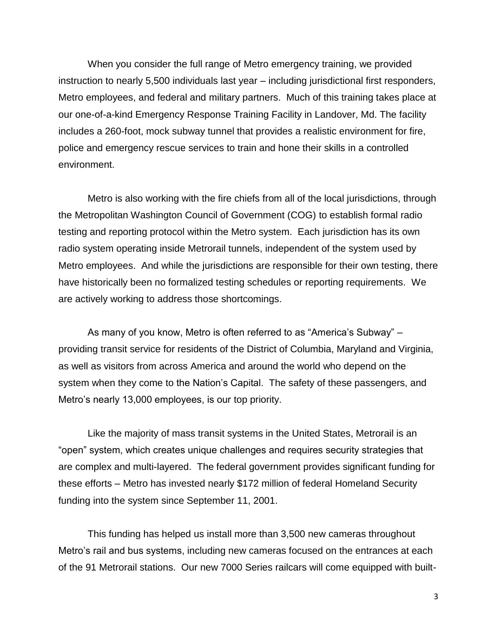When you consider the full range of Metro emergency training, we provided instruction to nearly 5,500 individuals last year – including jurisdictional first responders, Metro employees, and federal and military partners. Much of this training takes place at our one-of-a-kind Emergency Response Training Facility in Landover, Md. The facility includes a 260-foot, mock subway tunnel that provides a realistic environment for fire, police and emergency rescue services to train and hone their skills in a controlled environment.

Metro is also working with the fire chiefs from all of the local jurisdictions, through the Metropolitan Washington Council of Government (COG) to establish formal radio testing and reporting protocol within the Metro system. Each jurisdiction has its own radio system operating inside Metrorail tunnels, independent of the system used by Metro employees. And while the jurisdictions are responsible for their own testing, there have historically been no formalized testing schedules or reporting requirements. We are actively working to address those shortcomings.

As many of you know, Metro is often referred to as "America's Subway" – providing transit service for residents of the District of Columbia, Maryland and Virginia, as well as visitors from across America and around the world who depend on the system when they come to the Nation's Capital. The safety of these passengers, and Metro's nearly 13,000 employees, is our top priority.

Like the majority of mass transit systems in the United States, Metrorail is an "open" system, which creates unique challenges and requires security strategies that are complex and multi-layered. The federal government provides significant funding for these efforts – Metro has invested nearly \$172 million of federal Homeland Security funding into the system since September 11, 2001.

This funding has helped us install more than 3,500 new cameras throughout Metro's rail and bus systems, including new cameras focused on the entrances at each of the 91 Metrorail stations. Our new 7000 Series railcars will come equipped with built-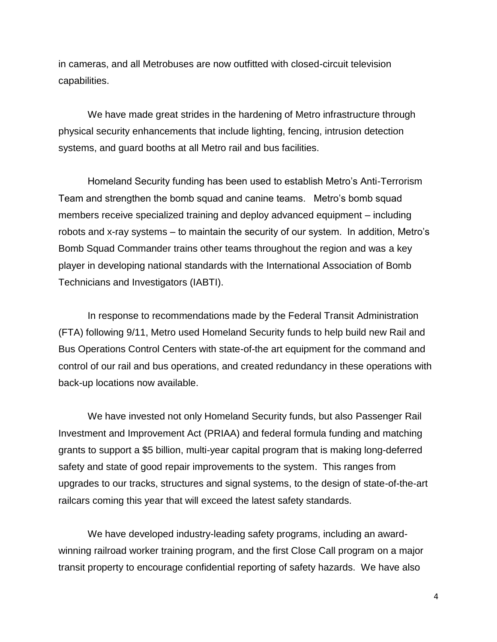in cameras, and all Metrobuses are now outfitted with closed-circuit television capabilities.

We have made great strides in the hardening of Metro infrastructure through physical security enhancements that include lighting, fencing, intrusion detection systems, and guard booths at all Metro rail and bus facilities.

Homeland Security funding has been used to establish Metro's Anti-Terrorism Team and strengthen the bomb squad and canine teams. Metro's bomb squad members receive specialized training and deploy advanced equipment – including robots and x-ray systems – to maintain the security of our system. In addition, Metro's Bomb Squad Commander trains other teams throughout the region and was a key player in developing national standards with the International Association of Bomb Technicians and Investigators (IABTI).

In response to recommendations made by the Federal Transit Administration (FTA) following 9/11, Metro used Homeland Security funds to help build new Rail and Bus Operations Control Centers with state-of-the art equipment for the command and control of our rail and bus operations, and created redundancy in these operations with back-up locations now available.

We have invested not only Homeland Security funds, but also Passenger Rail Investment and Improvement Act (PRIAA) and federal formula funding and matching grants to support a \$5 billion, multi-year capital program that is making long-deferred safety and state of good repair improvements to the system. This ranges from upgrades to our tracks, structures and signal systems, to the design of state-of-the-art railcars coming this year that will exceed the latest safety standards.

We have developed industry-leading safety programs, including an awardwinning railroad worker training program, and the first Close Call program on a major transit property to encourage confidential reporting of safety hazards. We have also